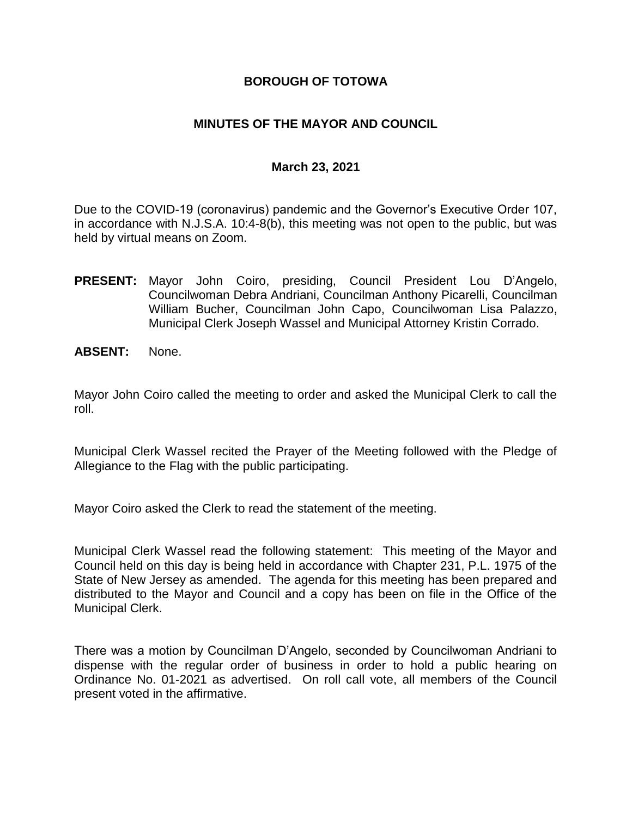### **BOROUGH OF TOTOWA**

### **MINUTES OF THE MAYOR AND COUNCIL**

#### **March 23, 2021**

Due to the COVID-19 (coronavirus) pandemic and the Governor's Executive Order 107, in accordance with N.J.S.A. 10:4-8(b), this meeting was not open to the public, but was held by virtual means on Zoom.

- **PRESENT:** Mayor John Coiro, presiding, Council President Lou D'Angelo, Councilwoman Debra Andriani, Councilman Anthony Picarelli, Councilman William Bucher, Councilman John Capo, Councilwoman Lisa Palazzo, Municipal Clerk Joseph Wassel and Municipal Attorney Kristin Corrado.
- **ABSENT:** None.

Mayor John Coiro called the meeting to order and asked the Municipal Clerk to call the roll.

Municipal Clerk Wassel recited the Prayer of the Meeting followed with the Pledge of Allegiance to the Flag with the public participating.

Mayor Coiro asked the Clerk to read the statement of the meeting.

Municipal Clerk Wassel read the following statement: This meeting of the Mayor and Council held on this day is being held in accordance with Chapter 231, P.L. 1975 of the State of New Jersey as amended. The agenda for this meeting has been prepared and distributed to the Mayor and Council and a copy has been on file in the Office of the Municipal Clerk.

There was a motion by Councilman D'Angelo, seconded by Councilwoman Andriani to dispense with the regular order of business in order to hold a public hearing on Ordinance No. 01-2021 as advertised. On roll call vote, all members of the Council present voted in the affirmative.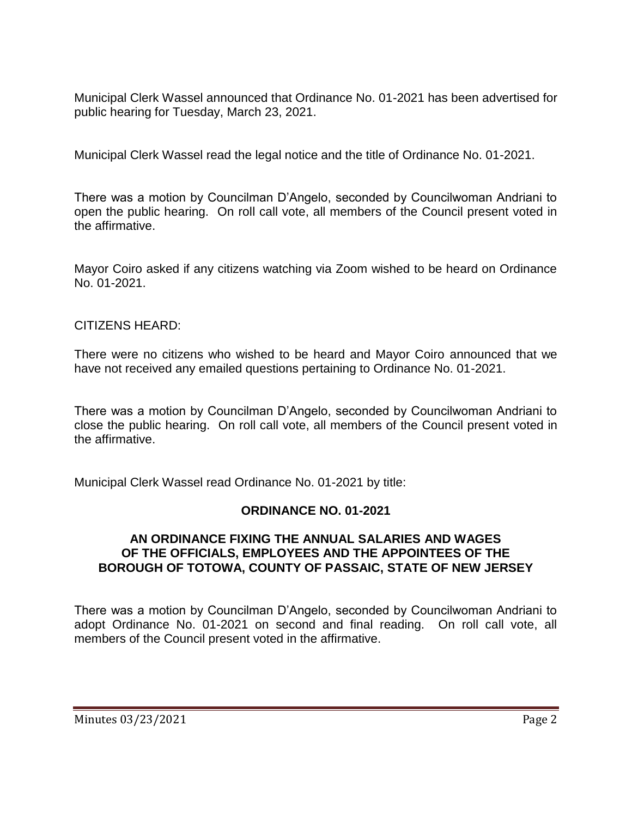Municipal Clerk Wassel announced that Ordinance No. 01-2021 has been advertised for public hearing for Tuesday, March 23, 2021.

Municipal Clerk Wassel read the legal notice and the title of Ordinance No. 01-2021.

There was a motion by Councilman D'Angelo, seconded by Councilwoman Andriani to open the public hearing. On roll call vote, all members of the Council present voted in the affirmative.

Mayor Coiro asked if any citizens watching via Zoom wished to be heard on Ordinance No. 01-2021.

## CITIZENS HEARD:

There were no citizens who wished to be heard and Mayor Coiro announced that we have not received any emailed questions pertaining to Ordinance No. 01-2021.

There was a motion by Councilman D'Angelo, seconded by Councilwoman Andriani to close the public hearing. On roll call vote, all members of the Council present voted in the affirmative.

Municipal Clerk Wassel read Ordinance No. 01-2021 by title:

## **ORDINANCE NO. 01-2021**

### **AN ORDINANCE FIXING THE ANNUAL SALARIES AND WAGES OF THE OFFICIALS, EMPLOYEES AND THE APPOINTEES OF THE BOROUGH OF TOTOWA, COUNTY OF PASSAIC, STATE OF NEW JERSEY**

There was a motion by Councilman D'Angelo, seconded by Councilwoman Andriani to adopt Ordinance No. 01-2021 on second and final reading. On roll call vote, all members of the Council present voted in the affirmative.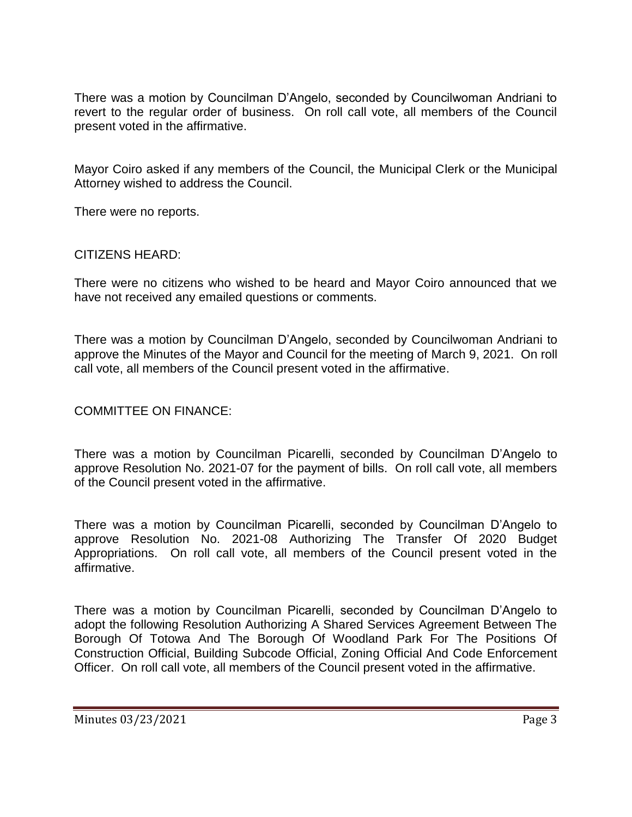There was a motion by Councilman D'Angelo, seconded by Councilwoman Andriani to revert to the regular order of business. On roll call vote, all members of the Council present voted in the affirmative.

Mayor Coiro asked if any members of the Council, the Municipal Clerk or the Municipal Attorney wished to address the Council.

There were no reports.

#### CITIZENS HEARD:

There were no citizens who wished to be heard and Mayor Coiro announced that we have not received any emailed questions or comments.

There was a motion by Councilman D'Angelo, seconded by Councilwoman Andriani to approve the Minutes of the Mayor and Council for the meeting of March 9, 2021. On roll call vote, all members of the Council present voted in the affirmative.

#### COMMITTEE ON FINANCE:

There was a motion by Councilman Picarelli, seconded by Councilman D'Angelo to approve Resolution No. 2021-07 for the payment of bills. On roll call vote, all members of the Council present voted in the affirmative.

There was a motion by Councilman Picarelli, seconded by Councilman D'Angelo to approve Resolution No. 2021-08 Authorizing The Transfer Of 2020 Budget Appropriations. On roll call vote, all members of the Council present voted in the affirmative.

There was a motion by Councilman Picarelli, seconded by Councilman D'Angelo to adopt the following Resolution Authorizing A Shared Services Agreement Between The Borough Of Totowa And The Borough Of Woodland Park For The Positions Of Construction Official, Building Subcode Official, Zoning Official And Code Enforcement Officer. On roll call vote, all members of the Council present voted in the affirmative.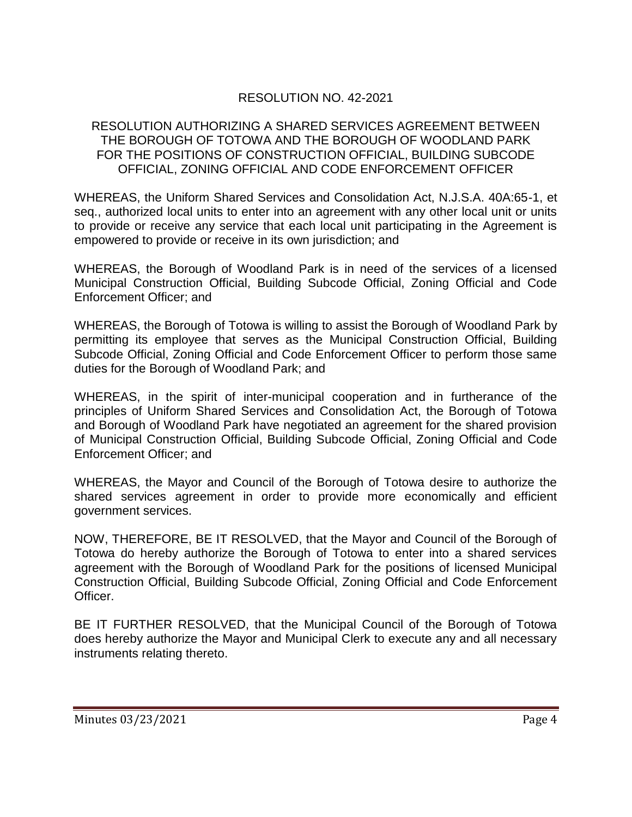# RESOLUTION NO. 42-2021

#### RESOLUTION AUTHORIZING A SHARED SERVICES AGREEMENT BETWEEN THE BOROUGH OF TOTOWA AND THE BOROUGH OF WOODLAND PARK FOR THE POSITIONS OF CONSTRUCTION OFFICIAL, BUILDING SUBCODE OFFICIAL, ZONING OFFICIAL AND CODE ENFORCEMENT OFFICER

WHEREAS, the Uniform Shared Services and Consolidation Act, N.J.S.A. 40A:65-1, et seq., authorized local units to enter into an agreement with any other local unit or units to provide or receive any service that each local unit participating in the Agreement is empowered to provide or receive in its own jurisdiction; and

WHEREAS, the Borough of Woodland Park is in need of the services of a licensed Municipal Construction Official, Building Subcode Official, Zoning Official and Code Enforcement Officer; and

WHEREAS, the Borough of Totowa is willing to assist the Borough of Woodland Park by permitting its employee that serves as the Municipal Construction Official, Building Subcode Official, Zoning Official and Code Enforcement Officer to perform those same duties for the Borough of Woodland Park; and

WHEREAS, in the spirit of inter-municipal cooperation and in furtherance of the principles of Uniform Shared Services and Consolidation Act, the Borough of Totowa and Borough of Woodland Park have negotiated an agreement for the shared provision of Municipal Construction Official, Building Subcode Official, Zoning Official and Code Enforcement Officer; and

WHEREAS, the Mayor and Council of the Borough of Totowa desire to authorize the shared services agreement in order to provide more economically and efficient government services.

NOW, THEREFORE, BE IT RESOLVED, that the Mayor and Council of the Borough of Totowa do hereby authorize the Borough of Totowa to enter into a shared services agreement with the Borough of Woodland Park for the positions of licensed Municipal Construction Official, Building Subcode Official, Zoning Official and Code Enforcement Officer.

BE IT FURTHER RESOLVED, that the Municipal Council of the Borough of Totowa does hereby authorize the Mayor and Municipal Clerk to execute any and all necessary instruments relating thereto.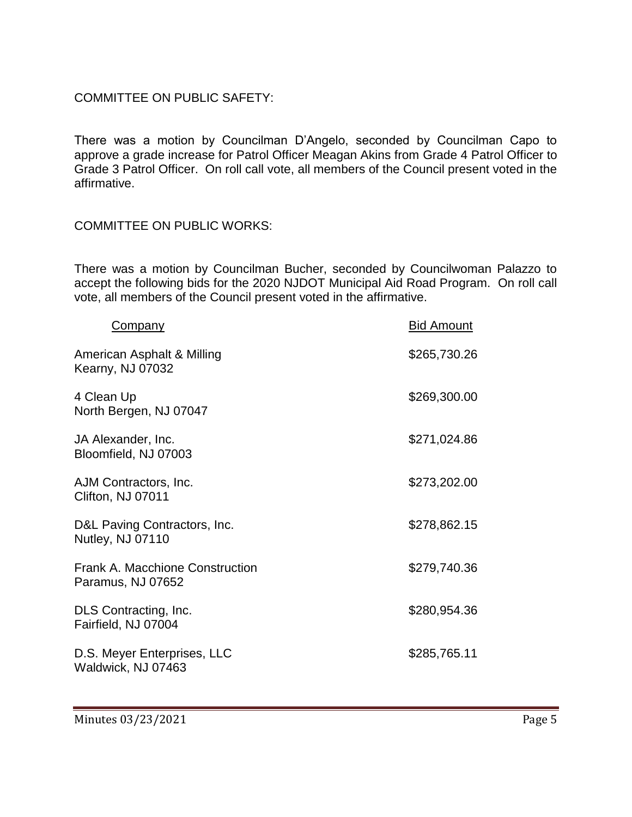## COMMITTEE ON PUBLIC SAFETY:

There was a motion by Councilman D'Angelo, seconded by Councilman Capo to approve a grade increase for Patrol Officer Meagan Akins from Grade 4 Patrol Officer to Grade 3 Patrol Officer. On roll call vote, all members of the Council present voted in the affirmative.

#### COMMITTEE ON PUBLIC WORKS:

There was a motion by Councilman Bucher, seconded by Councilwoman Palazzo to accept the following bids for the 2020 NJDOT Municipal Aid Road Program. On roll call vote, all members of the Council present voted in the affirmative.

| <b>Company</b>                                              | <b>Bid Amount</b> |
|-------------------------------------------------------------|-------------------|
| American Asphalt & Milling<br><b>Kearny, NJ 07032</b>       | \$265,730.26      |
| 4 Clean Up<br>North Bergen, NJ 07047                        | \$269,300.00      |
| JA Alexander, Inc.<br>Bloomfield, NJ 07003                  | \$271,024.86      |
| AJM Contractors, Inc.<br>Clifton, NJ 07011                  | \$273,202.00      |
| D&L Paving Contractors, Inc.<br><b>Nutley, NJ 07110</b>     | \$278,862.15      |
| <b>Frank A. Macchione Construction</b><br>Paramus, NJ 07652 | \$279,740.36      |
| DLS Contracting, Inc.<br>Fairfield, NJ 07004                | \$280,954.36      |
| D.S. Meyer Enterprises, LLC<br>Waldwick, NJ 07463           | \$285,765.11      |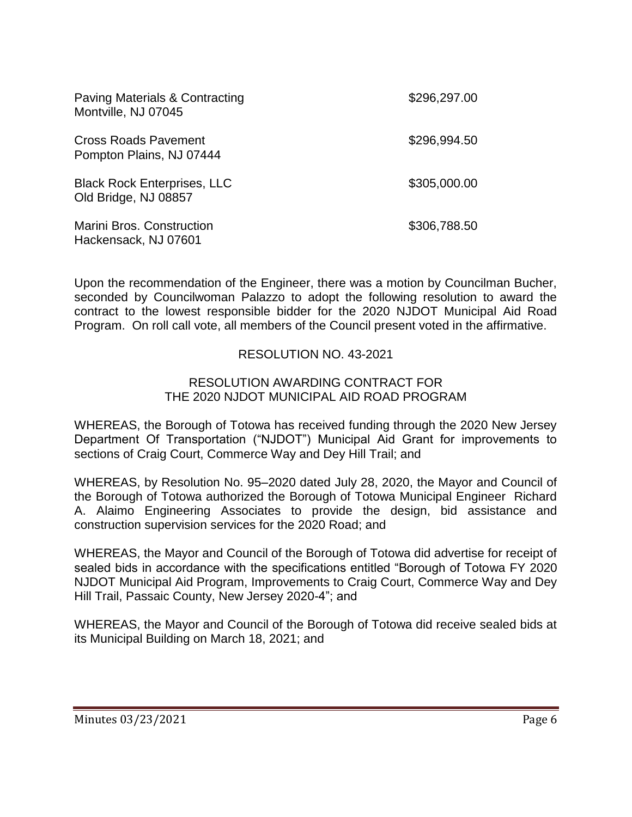| <b>Paving Materials &amp; Contracting</b><br>Montville, NJ 07045 | \$296,297.00 |
|------------------------------------------------------------------|--------------|
| <b>Cross Roads Pavement</b><br>Pompton Plains, NJ 07444          | \$296,994.50 |
| <b>Black Rock Enterprises, LLC</b><br>Old Bridge, NJ 08857       | \$305,000.00 |
| <b>Marini Bros. Construction</b><br>Hackensack, NJ 07601         | \$306,788.50 |

Upon the recommendation of the Engineer, there was a motion by Councilman Bucher, seconded by Councilwoman Palazzo to adopt the following resolution to award the contract to the lowest responsible bidder for the 2020 NJDOT Municipal Aid Road Program. On roll call vote, all members of the Council present voted in the affirmative.

### RESOLUTION NO. 43-2021

#### RESOLUTION AWARDING CONTRACT FOR THE 2020 NJDOT MUNICIPAL AID ROAD PROGRAM

WHEREAS, the Borough of Totowa has received funding through the 2020 New Jersey Department Of Transportation ("NJDOT") Municipal Aid Grant for improvements to sections of Craig Court, Commerce Way and Dey Hill Trail; and

WHEREAS, by Resolution No. 95–2020 dated July 28, 2020, the Mayor and Council of the Borough of Totowa authorized the Borough of Totowa Municipal Engineer Richard A. Alaimo Engineering Associates to provide the design, bid assistance and construction supervision services for the 2020 Road; and

WHEREAS, the Mayor and Council of the Borough of Totowa did advertise for receipt of sealed bids in accordance with the specifications entitled "Borough of Totowa FY 2020 NJDOT Municipal Aid Program, Improvements to Craig Court, Commerce Way and Dey Hill Trail, Passaic County, New Jersey 2020-4"; and

WHEREAS, the Mayor and Council of the Borough of Totowa did receive sealed bids at its Municipal Building on March 18, 2021; and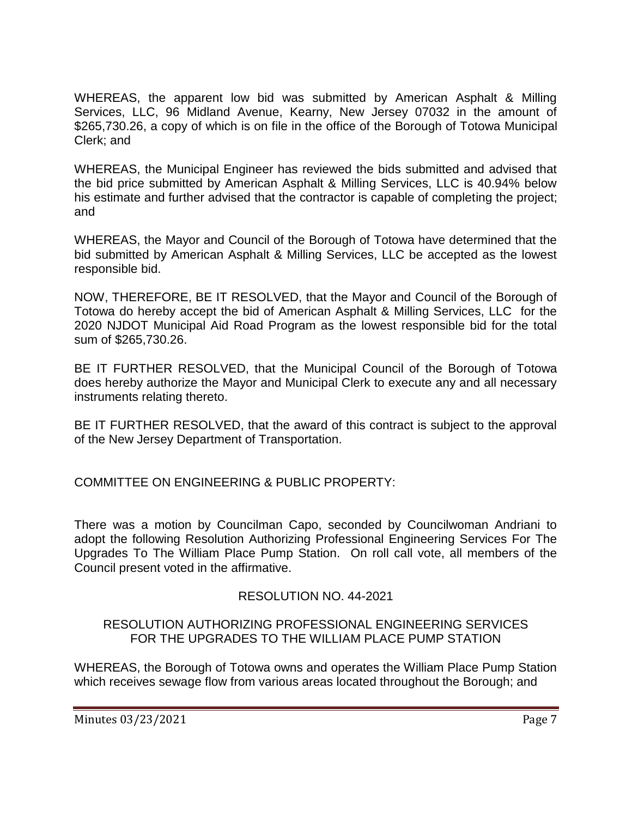WHEREAS, the apparent low bid was submitted by American Asphalt & Milling Services, LLC, 96 Midland Avenue, Kearny, New Jersey 07032 in the amount of \$265,730.26, a copy of which is on file in the office of the Borough of Totowa Municipal Clerk; and

WHEREAS, the Municipal Engineer has reviewed the bids submitted and advised that the bid price submitted by American Asphalt & Milling Services, LLC is 40.94% below his estimate and further advised that the contractor is capable of completing the project; and

WHEREAS, the Mayor and Council of the Borough of Totowa have determined that the bid submitted by American Asphalt & Milling Services, LLC be accepted as the lowest responsible bid.

NOW, THEREFORE, BE IT RESOLVED, that the Mayor and Council of the Borough of Totowa do hereby accept the bid of American Asphalt & Milling Services, LLC for the 2020 NJDOT Municipal Aid Road Program as the lowest responsible bid for the total sum of \$265,730.26.

BE IT FURTHER RESOLVED, that the Municipal Council of the Borough of Totowa does hereby authorize the Mayor and Municipal Clerk to execute any and all necessary instruments relating thereto.

BE IT FURTHER RESOLVED, that the award of this contract is subject to the approval of the New Jersey Department of Transportation.

COMMITTEE ON ENGINEERING & PUBLIC PROPERTY:

There was a motion by Councilman Capo, seconded by Councilwoman Andriani to adopt the following Resolution Authorizing Professional Engineering Services For The Upgrades To The William Place Pump Station. On roll call vote, all members of the Council present voted in the affirmative.

## RESOLUTION NO. 44-2021

#### RESOLUTION AUTHORIZING PROFESSIONAL ENGINEERING SERVICES FOR THE UPGRADES TO THE WILLIAM PLACE PUMP STATION

WHEREAS, the Borough of Totowa owns and operates the William Place Pump Station which receives sewage flow from various areas located throughout the Borough; and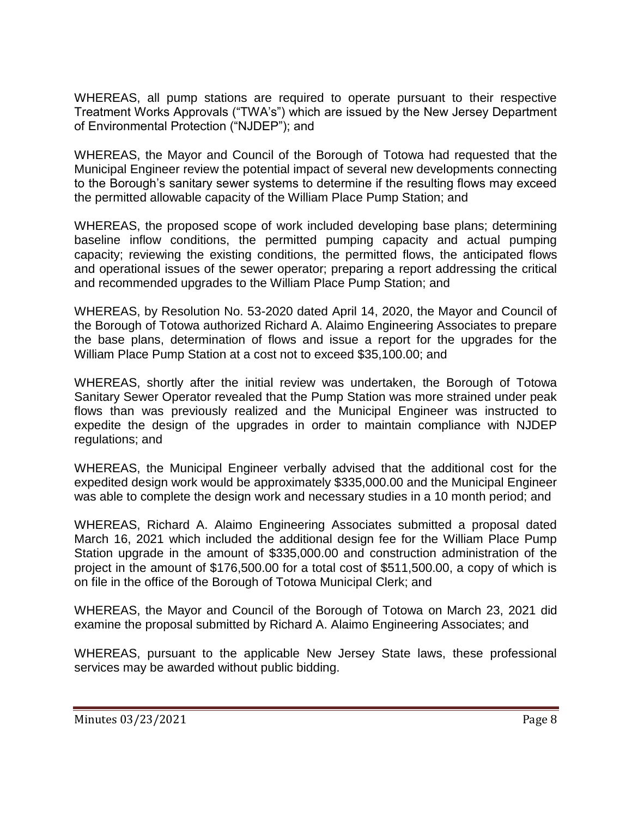WHEREAS, all pump stations are required to operate pursuant to their respective Treatment Works Approvals ("TWA's") which are issued by the New Jersey Department of Environmental Protection ("NJDEP"); and

WHEREAS, the Mayor and Council of the Borough of Totowa had requested that the Municipal Engineer review the potential impact of several new developments connecting to the Borough's sanitary sewer systems to determine if the resulting flows may exceed the permitted allowable capacity of the William Place Pump Station; and

WHEREAS, the proposed scope of work included developing base plans; determining baseline inflow conditions, the permitted pumping capacity and actual pumping capacity; reviewing the existing conditions, the permitted flows, the anticipated flows and operational issues of the sewer operator; preparing a report addressing the critical and recommended upgrades to the William Place Pump Station; and

WHEREAS, by Resolution No. 53-2020 dated April 14, 2020, the Mayor and Council of the Borough of Totowa authorized Richard A. Alaimo Engineering Associates to prepare the base plans, determination of flows and issue a report for the upgrades for the William Place Pump Station at a cost not to exceed \$35,100.00; and

WHEREAS, shortly after the initial review was undertaken, the Borough of Totowa Sanitary Sewer Operator revealed that the Pump Station was more strained under peak flows than was previously realized and the Municipal Engineer was instructed to expedite the design of the upgrades in order to maintain compliance with NJDEP regulations; and

WHEREAS, the Municipal Engineer verbally advised that the additional cost for the expedited design work would be approximately \$335,000.00 and the Municipal Engineer was able to complete the design work and necessary studies in a 10 month period; and

WHEREAS, Richard A. Alaimo Engineering Associates submitted a proposal dated March 16, 2021 which included the additional design fee for the William Place Pump Station upgrade in the amount of \$335,000.00 and construction administration of the project in the amount of \$176,500.00 for a total cost of \$511,500.00, a copy of which is on file in the office of the Borough of Totowa Municipal Clerk; and

WHEREAS, the Mayor and Council of the Borough of Totowa on March 23, 2021 did examine the proposal submitted by Richard A. Alaimo Engineering Associates; and

WHEREAS, pursuant to the applicable New Jersey State laws, these professional services may be awarded without public bidding.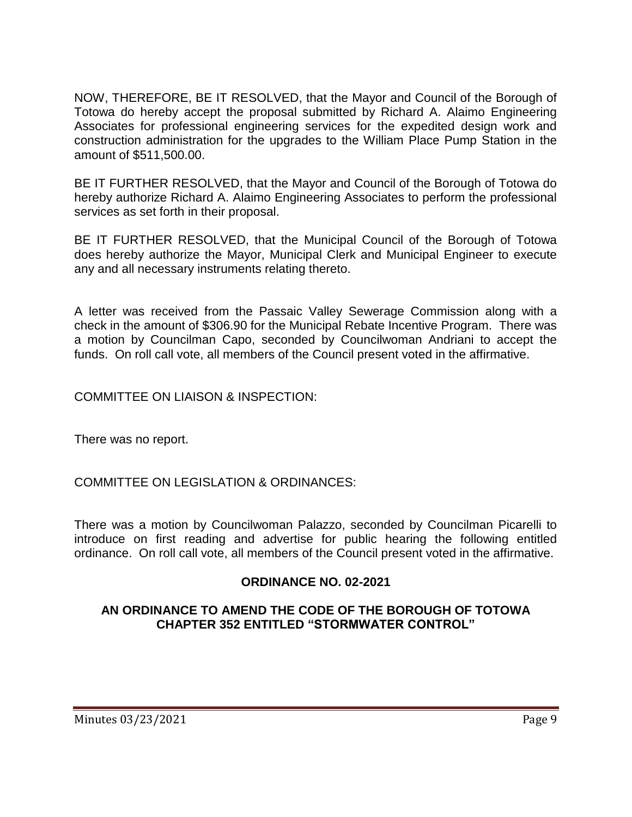NOW, THEREFORE, BE IT RESOLVED, that the Mayor and Council of the Borough of Totowa do hereby accept the proposal submitted by Richard A. Alaimo Engineering Associates for professional engineering services for the expedited design work and construction administration for the upgrades to the William Place Pump Station in the amount of \$511,500.00.

BE IT FURTHER RESOLVED, that the Mayor and Council of the Borough of Totowa do hereby authorize Richard A. Alaimo Engineering Associates to perform the professional services as set forth in their proposal.

BE IT FURTHER RESOLVED, that the Municipal Council of the Borough of Totowa does hereby authorize the Mayor, Municipal Clerk and Municipal Engineer to execute any and all necessary instruments relating thereto.

A letter was received from the Passaic Valley Sewerage Commission along with a check in the amount of \$306.90 for the Municipal Rebate Incentive Program. There was a motion by Councilman Capo, seconded by Councilwoman Andriani to accept the funds. On roll call vote, all members of the Council present voted in the affirmative.

COMMITTEE ON LIAISON & INSPECTION:

There was no report.

COMMITTEE ON LEGISLATION & ORDINANCES:

There was a motion by Councilwoman Palazzo, seconded by Councilman Picarelli to introduce on first reading and advertise for public hearing the following entitled ordinance. On roll call vote, all members of the Council present voted in the affirmative.

## **ORDINANCE NO. 02-2021**

## **AN ORDINANCE TO AMEND THE CODE OF THE BOROUGH OF TOTOWA CHAPTER 352 ENTITLED "STORMWATER CONTROL"**